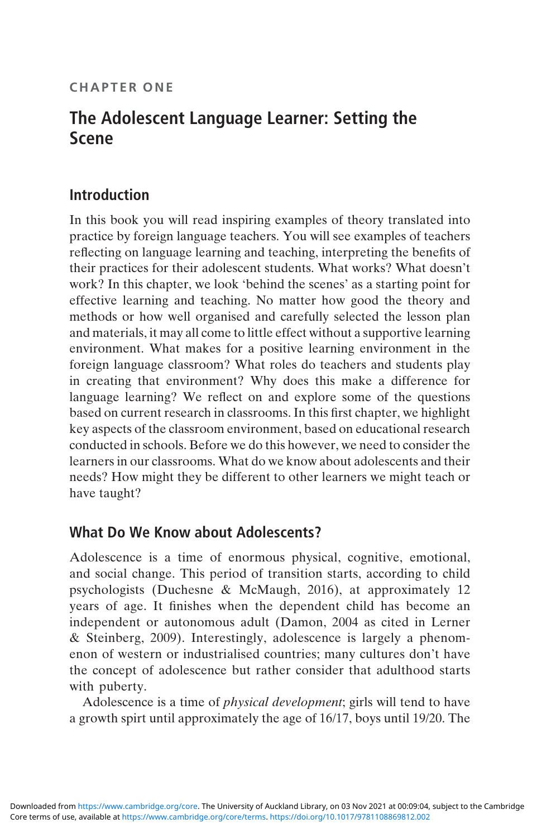#### CHAPTER ONE

# The Adolescent Language Learner: Setting the Scene

### Introduction

In this book you will read inspiring examples of theory translated into practice by foreign language teachers. You will see examples of teachers reflecting on language learning and teaching, interpreting the benefits of their practices for their adolescent students. What works? What doesn't work? In this chapter, we look 'behind the scenes' as a starting point for effective learning and teaching. No matter how good the theory and methods or how well organised and carefully selected the lesson plan and materials, it may all come to little effect without a supportive learning environment. What makes for a positive learning environment in the foreign language classroom? What roles do teachers and students play in creating that environment? Why does this make a difference for language learning? We reflect on and explore some of the questions based on current research in classrooms. In this first chapter, we highlight key aspects of the classroom environment, based on educational research conducted in schools. Before we do this however, we need to consider the learners in our classrooms. What do we know about adolescents and their needs? How might they be different to other learners we might teach or have taught?

#### What Do We Know about Adolescents?

Adolescence is a time of enormous physical, cognitive, emotional, and social change. This period of transition starts, according to child psychologists (Duchesne & McMaugh, 2016), at approximately 12 years of age. It finishes when the dependent child has become an independent or autonomous adult (Damon, 2004 as cited in Lerner & Steinberg, 2009). Interestingly, adolescence is largely a phenomenon of western or industrialised countries; many cultures don't have the concept of adolescence but rather consider that adulthood starts with puberty.

Adolescence is a time of physical development; girls will tend to have a growth spirt until approximately the age of 16/17, boys until 19/20. The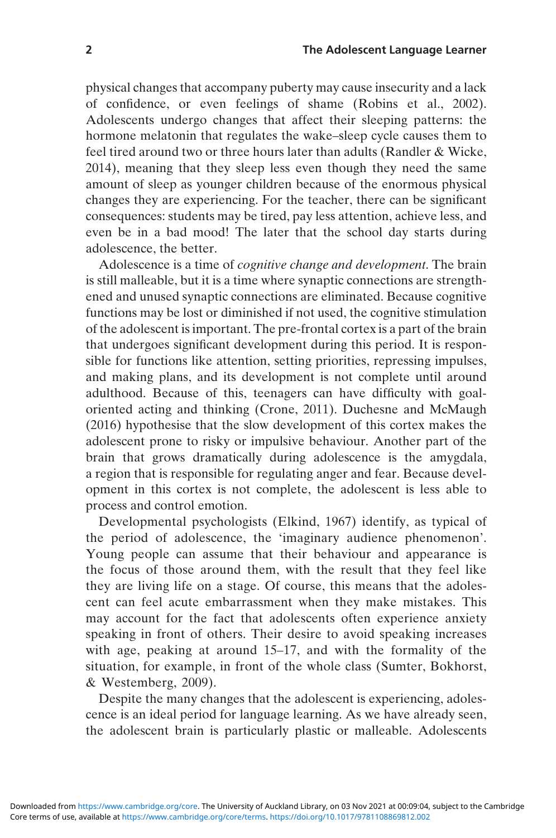physical changes that accompany puberty may cause insecurity and a lack of confidence, or even feelings of shame (Robins et al., 2002). Adolescents undergo changes that affect their sleeping patterns: the hormone melatonin that regulates the wake–sleep cycle causes them to feel tired around two or three hours later than adults (Randler & Wicke, 2014), meaning that they sleep less even though they need the same amount of sleep as younger children because of the enormous physical changes they are experiencing. For the teacher, there can be significant consequences: students may be tired, pay less attention, achieve less, and even be in a bad mood! The later that the school day starts during adolescence, the better.

Adolescence is a time of cognitive change and development. The brain is still malleable, but it is a time where synaptic connections are strengthened and unused synaptic connections are eliminated. Because cognitive functions may be lost or diminished if not used, the cognitive stimulation of the adolescent is important. The pre-frontal cortex is a part of the brain that undergoes significant development during this period. It is responsible for functions like attention, setting priorities, repressing impulses, and making plans, and its development is not complete until around adulthood. Because of this, teenagers can have difficulty with goaloriented acting and thinking (Crone, 2011). Duchesne and McMaugh (2016) hypothesise that the slow development of this cortex makes the adolescent prone to risky or impulsive behaviour. Another part of the brain that grows dramatically during adolescence is the amygdala, a region that is responsible for regulating anger and fear. Because development in this cortex is not complete, the adolescent is less able to process and control emotion.

Developmental psychologists (Elkind, 1967) identify, as typical of the period of adolescence, the 'imaginary audience phenomenon'. Young people can assume that their behaviour and appearance is the focus of those around them, with the result that they feel like they are living life on a stage. Of course, this means that the adolescent can feel acute embarrassment when they make mistakes. This may account for the fact that adolescents often experience anxiety speaking in front of others. Their desire to avoid speaking increases with age, peaking at around 15–17, and with the formality of the situation, for example, in front of the whole class (Sumter, Bokhorst, & Westemberg, 2009).

Despite the many changes that the adolescent is experiencing, adolescence is an ideal period for language learning. As we have already seen, the adolescent brain is particularly plastic or malleable. Adolescents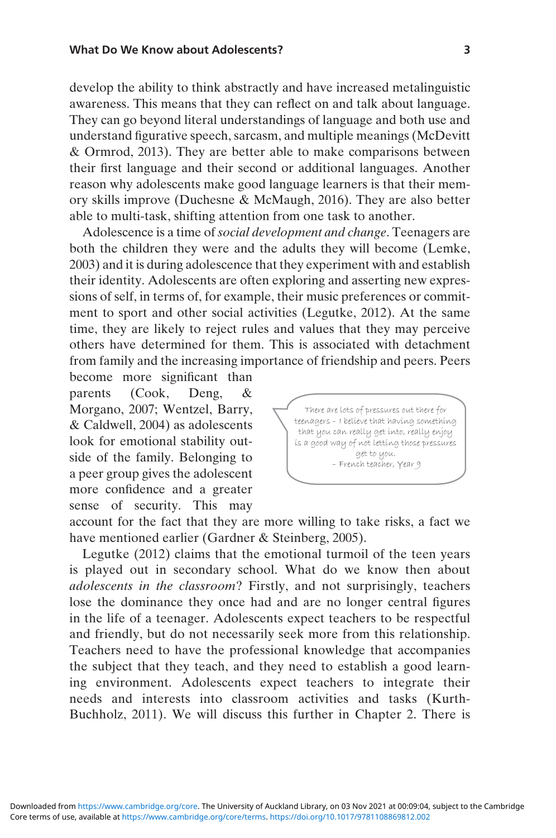develop the ability to think abstractly and have increased metalinguistic awareness. This means that they can reflect on and talk about language. They can go beyond literal understandings of language and both use and understand figurative speech, sarcasm, and multiple meanings (McDevitt & Ormrod, 2013). They are better able to make comparisons between their first language and their second or additional languages. Another reason why adolescents make good language learners is that their memory skills improve (Duchesne & McMaugh, 2016). They are also better able to multi-task, shifting attention from one task to another.

Adolescence is a time of social development and change. Teenagers are both the children they were and the adults they will become (Lemke, 2003) and it is during adolescence that they experiment with and establish their identity. Adolescents are often exploring and asserting new expressions of self, in terms of, for example, their music preferences or commitment to sport and other social activities (Legutke, 2012). At the same time, they are likely to reject rules and values that they may perceive others have determined for them. This is associated with detachment from family and the increasing importance of friendship and peers. Peers

become more significant than parents (Cook, Deng, Morgano, 2007; Wentzel, Barry, & Caldwell, 2004) as adolescents look for emotional stability outside of the family. Belonging to a peer group gives the adolescent more confidence and a greater sense of security. This may



account for the fact that they are more willing to take risks, a fact we have mentioned earlier (Gardner & Steinberg, 2005).

Legutke (2012) claims that the emotional turmoil of the teen years is played out in secondary school. What do we know then about adolescents in the classroom? Firstly, and not surprisingly, teachers lose the dominance they once had and are no longer central figures in the life of a teenager. Adolescents expect teachers to be respectful and friendly, but do not necessarily seek more from this relationship. Teachers need to have the professional knowledge that accompanies the subject that they teach, and they need to establish a good learning environment. Adolescents expect teachers to integrate their needs and interests into classroom activities and tasks (Kurth-Buchholz, 2011). We will discuss this further in Chapter 2. There is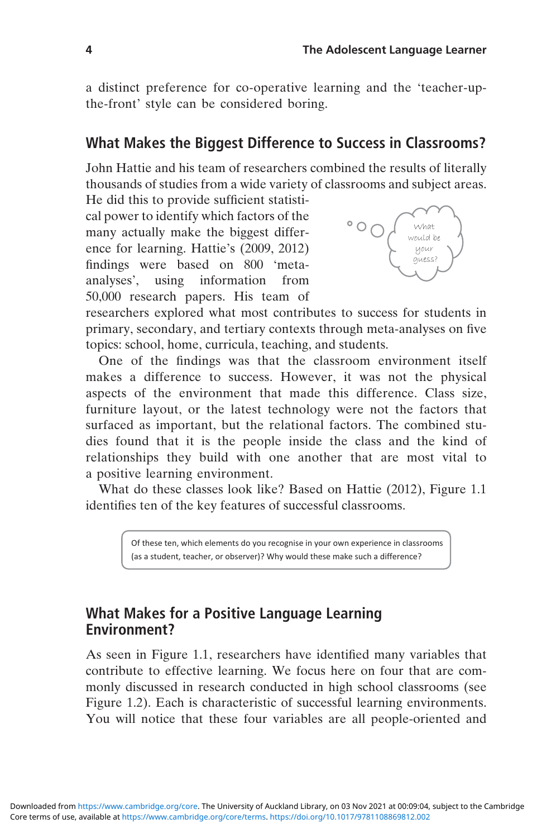a distinct preference for co-operative learning and the 'teacher-upthe-front' style can be considered boring.

### What Makes the Biggest Difference to Success in Classrooms?

John Hattie and his team of researchers combined the results of literally thousands of studies from a wide variety of classrooms and subject areas. He did this to provide sufficient statisti-

cal power to identify which factors of the many actually make the biggest difference for learning. Hattie's (2009, 2012) findings were based on 800 'metaanalyses', using information from 50,000 research papers. His team of



researchers explored what most contributes to success for students in primary, secondary, and tertiary contexts through meta-analyses on five topics: school, home, curricula, teaching, and students.

One of the findings was that the classroom environment itself makes a difference to success. However, it was not the physical aspects of the environment that made this difference. Class size, furniture layout, or the latest technology were not the factors that surfaced as important, but the relational factors. The combined studies found that it is the people inside the class and the kind of relationships they build with one another that are most vital to a positive learning environment.

What do these classes look like? Based on Hattie (2012), Figure 1.1 identifies ten of the key features of successful classrooms.

> Of these ten, which elements do you recognise in your own experience in classrooms (as a student, teacher, or observer)? Why would these make such a difference?

### What Makes for a Positive Language Learning Environment?

As seen in Figure 1.1, researchers have identified many variables that contribute to effective learning. We focus here on four that are commonly discussed in research conducted in high school classrooms (see Figure 1.2). Each is characteristic of successful learning environments. You will notice that these four variables are all people-oriented and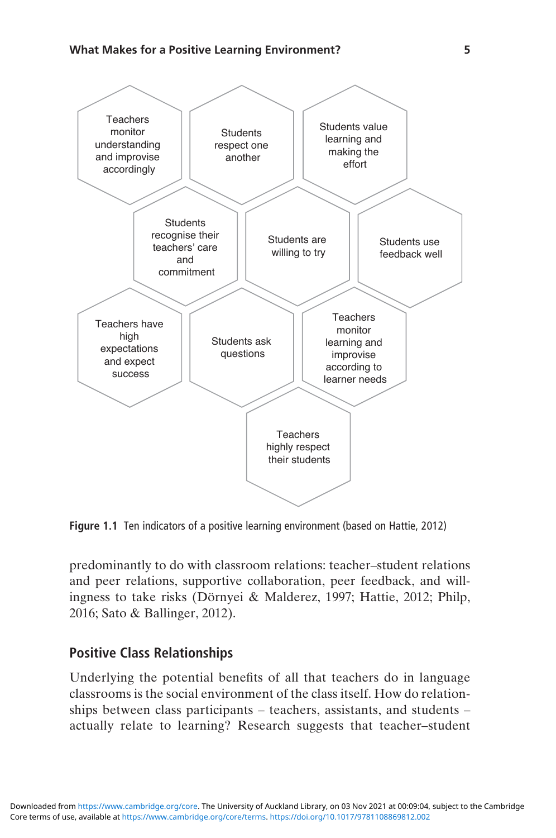

Figure 1.1 Ten indicators of a positive learning environment (based on Hattie, 2012)

predominantly to do with classroom relations: teacher–student relations and peer relations, supportive collaboration, peer feedback, and willingness to take risks (Dörnyei & Malderez, 1997; Hattie, 2012; Philp, 2016; Sato & Ballinger, 2012).

#### Positive Class Relationships

Underlying the potential benefits of all that teachers do in language classrooms is the social environment of the class itself. How do relationships between class participants – teachers, assistants, and students – actually relate to learning? Research suggests that teacher–student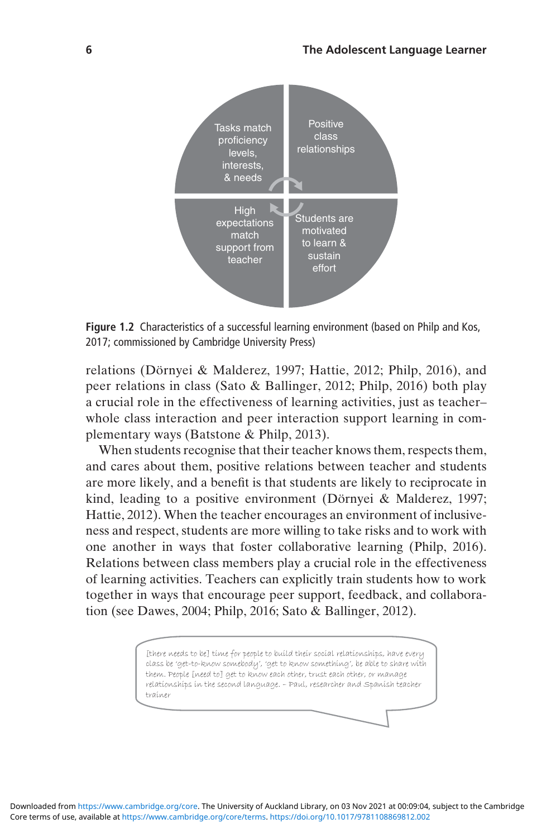

Figure 1.2 Characteristics of a successful learning environment (based on Philp and Kos, 2017; commissioned by Cambridge University Press)

relations (Dörnyei & Malderez, 1997; Hattie, 2012; Philp, 2016), and peer relations in class (Sato & Ballinger, 2012; Philp, 2016) both play a crucial role in the effectiveness of learning activities, just as teacher– whole class interaction and peer interaction support learning in complementary ways (Batstone & Philp, 2013).

When students recognise that their teacher knows them, respects them, and cares about them, positive relations between teacher and students are more likely, and a benefit is that students are likely to reciprocate in kind, leading to a positive environment (Dörnyei & Malderez, 1997; Hattie, 2012). When the teacher encourages an environment of inclusiveness and respect, students are more willing to take risks and to work with one another in ways that foster collaborative learning (Philp, 2016). Relations between class members play a crucial role in the effectiveness of learning activities. Teachers can explicitly train students how to work together in ways that encourage peer support, feedback, and collaboration (see Dawes, 2004; Philp, 2016; Sato & Ballinger, 2012).

> [there needs to be] time for people to build their social relationships, have every class be 'get-to-know somebody', 'get to know something', be able to share with them. People [need to] get to know each other, trust each other, or manage relationships in the second language. – Paul, researcher and Spanish teacher trainer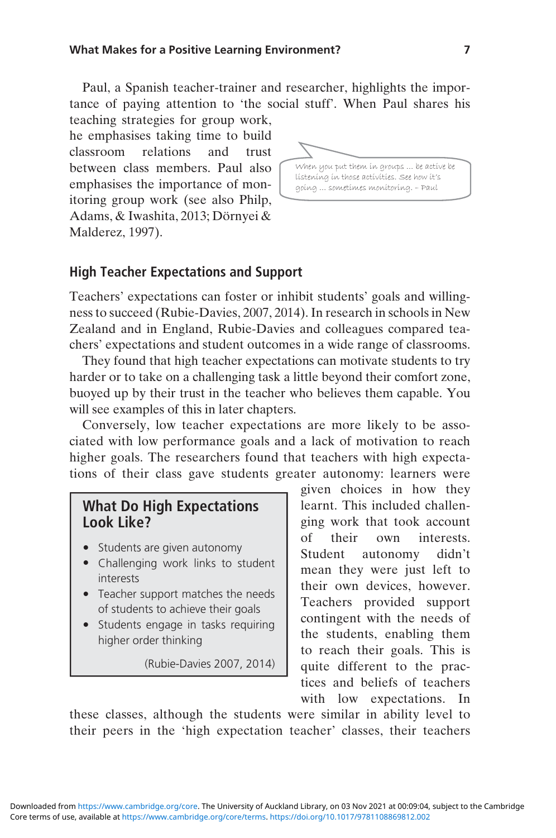Paul, a Spanish teacher-trainer and researcher, highlights the importance of paying attention to 'the social stuff'. When Paul shares his teaching strategies for group work,

he emphasises taking time to build classroom relations and trust between class members. Paul also emphasises the importance of monitoring group work (see also Philp, Adams, & Iwashita, 2013; Dörnyei & Malderez, 1997).



#### High Teacher Expectations and Support

Teachers' expectations can foster or inhibit students' goals and willingness to succeed (Rubie-Davies, 2007, 2014). In research in schools in New Zealand and in England, Rubie-Davies and colleagues compared teachers' expectations and student outcomes in a wide range of classrooms.

They found that high teacher expectations can motivate students to try harder or to take on a challenging task a little beyond their comfort zone, buoyed up by their trust in the teacher who believes them capable. You will see examples of this in later chapters.

Conversely, low teacher expectations are more likely to be associated with low performance goals and a lack of motivation to reach higher goals. The researchers found that teachers with high expectations of their class gave students greater autonomy: learners were

#### What Do High Expectations Look Like?

- Students are given autonomy
- Challenging work links to student interests
- Teacher support matches the needs of students to achieve their goals
- Students engage in tasks requiring higher order thinking

(Rubie-Davies 2007, 2014)

given choices in how they learnt. This included challenging work that took account of their own interests. Student autonomy didn't mean they were just left to their own devices, however. Teachers provided support contingent with the needs of the students, enabling them to reach their goals. This is quite different to the practices and beliefs of teachers with low expectations. In

these classes, although the students were similar in ability level to their peers in the 'high expectation teacher' classes, their teachers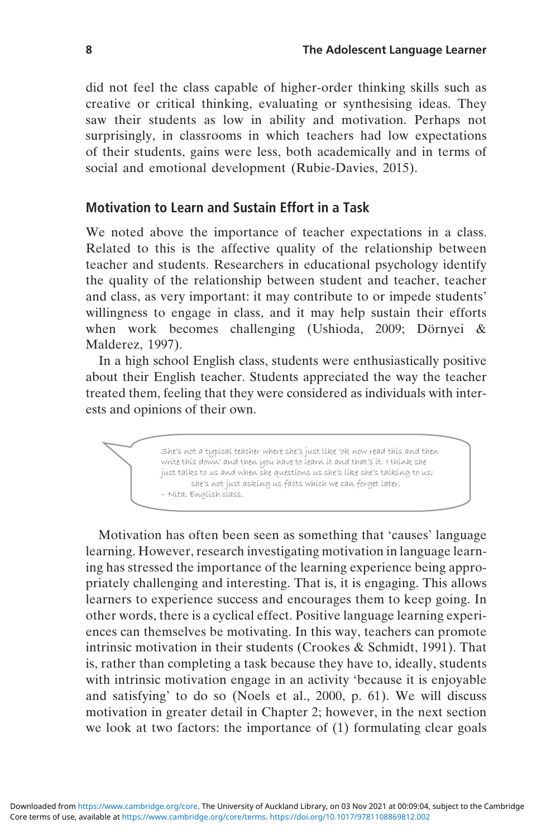did not feel the class capable of higher-order thinking skills such as creative or critical thinking, evaluating or synthesising ideas. They saw their students as low in ability and motivation. Perhaps not surprisingly, in classrooms in which teachers had low expectations of their students, gains were less, both academically and in terms of social and emotional development (Rubie-Davies, 2015).

#### Motivation to Learn and Sustain Effort in a Task

We noted above the importance of teacher expectations in a class. Related to this is the affective quality of the relationship between teacher and students. Researchers in educational psychology identify the quality of the relationship between student and teacher, teacher and class, as very important: it may contribute to or impede students' willingness to engage in class, and it may help sustain their efforts when work becomes challenging (Ushioda, 2009; Dörnyei & Malderez, 1997).

In a high school English class, students were enthusiastically positive about their English teacher. Students appreciated the way the teacher treated them, feeling that they were considered as individuals with interests and opinions of their own.

> She's not a typical teacher where she's just like 'ok now read this and then write this down' and then you have to learn it and that's it. I think she just talks to us and when she questions us she's like she's talking to us; she's not just asking us facts which we can forget later. – Nita, English class.

Motivation has often been seen as something that 'causes' language learning. However, research investigating motivation in language learning has stressed the importance of the learning experience being appropriately challenging and interesting. That is, it is engaging. This allows learners to experience success and encourages them to keep going. In other words, there is a cyclical effect. Positive language learning experiences can themselves be motivating. In this way, teachers can promote intrinsic motivation in their students (Crookes & Schmidt, 1991). That is, rather than completing a task because they have to, ideally, students with intrinsic motivation engage in an activity 'because it is enjoyable and satisfying' to do so (Noels et al., 2000, p. 61). We will discuss motivation in greater detail in Chapter 2; however, in the next section we look at two factors: the importance of (1) formulating clear goals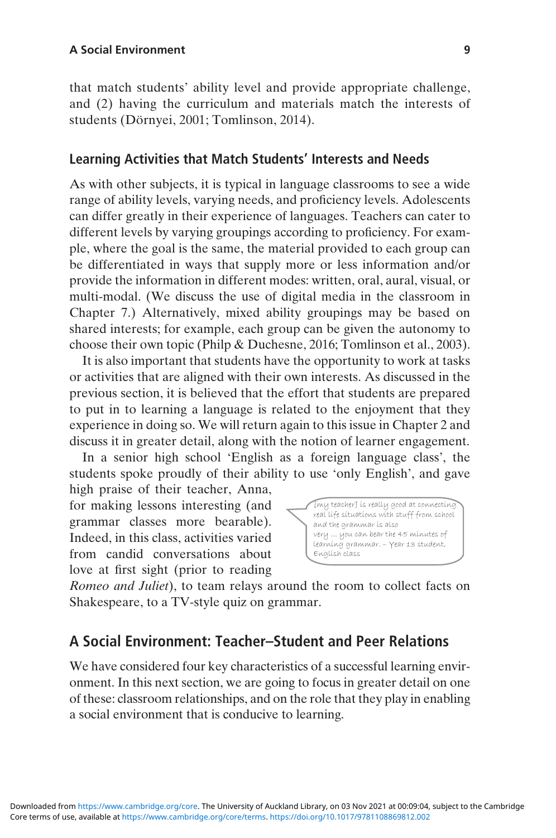that match students' ability level and provide appropriate challenge, and (2) having the curriculum and materials match the interests of students (Dörnyei, 2001; Tomlinson, 2014).

#### Learning Activities that Match Students' Interests and Needs

As with other subjects, it is typical in language classrooms to see a wide range of ability levels, varying needs, and proficiency levels. Adolescents can differ greatly in their experience of languages. Teachers can cater to different levels by varying groupings according to proficiency. For example, where the goal is the same, the material provided to each group can be differentiated in ways that supply more or less information and/or provide the information in different modes: written, oral, aural, visual, or multi-modal. (We discuss the use of digital media in the classroom in Chapter 7.) Alternatively, mixed ability groupings may be based on shared interests; for example, each group can be given the autonomy to choose their own topic (Philp & Duchesne, 2016; Tomlinson et al., 2003).

It is also important that students have the opportunity to work at tasks or activities that are aligned with their own interests. As discussed in the previous section, it is believed that the effort that students are prepared to put in to learning a language is related to the enjoyment that they experience in doing so. We will return again to this issue in Chapter 2 and discuss it in greater detail, along with the notion of learner engagement.

In a senior high school 'English as a foreign language class', the students spoke proudly of their ability to use 'only English', and gave

high praise of their teacher, Anna, for making lessons interesting (and grammar classes more bearable). Indeed, in this class, activities varied from candid conversations about love at first sight (prior to reading



Romeo and Juliet), to team relays around the room to collect facts on Shakespeare, to a TV-style quiz on grammar.

#### A Social Environment: Teacher–Student and Peer Relations

We have considered four key characteristics of a successful learning environment. In this next section, we are going to focus in greater detail on one of these: classroom relationships, and on the role that they play in enabling a social environment that is conducive to learning.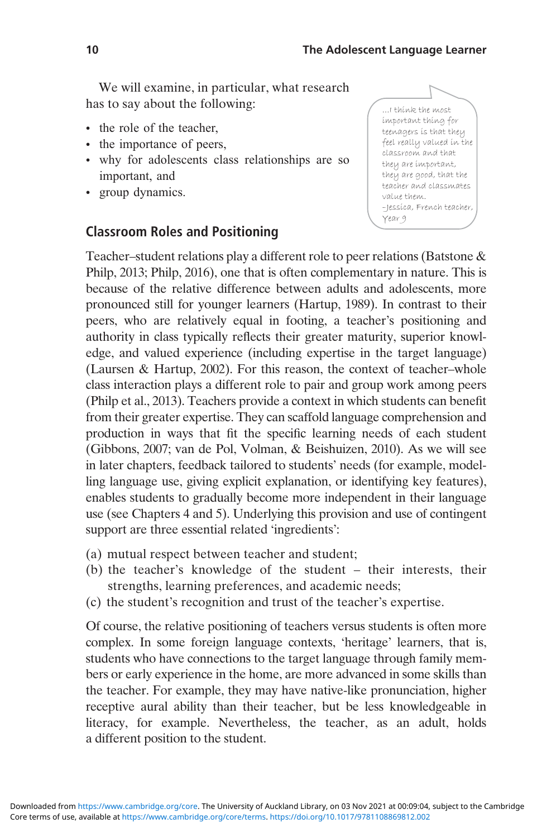We will examine, in particular, what research has to say about the following:

- the role of the teacher,
- the importance of peers,
- why for adolescents class relationships are so important, and
- group dynamics.

#### Classroom Roles and Positioning



Teacher–student relations play a different role to peer relations (Batstone & Philp, 2013; Philp, 2016), one that is often complementary in nature. This is because of the relative difference between adults and adolescents, more pronounced still for younger learners (Hartup, 1989). In contrast to their peers, who are relatively equal in footing, a teacher's positioning and authority in class typically reflects their greater maturity, superior knowledge, and valued experience (including expertise in the target language) (Laursen & Hartup, 2002). For this reason, the context of teacher–whole class interaction plays a different role to pair and group work among peers (Philp et al., 2013). Teachers provide a context in which students can benefit from their greater expertise. They can scaffold language comprehension and production in ways that fit the specific learning needs of each student (Gibbons, 2007; van de Pol, Volman, & Beishuizen, 2010). As we will see in later chapters, feedback tailored to students' needs (for example, modelling language use, giving explicit explanation, or identifying key features), enables students to gradually become more independent in their language use (see Chapters 4 and 5). Underlying this provision and use of contingent support are three essential related 'ingredients':

- (a) mutual respect between teacher and student;
- (b) the teacher's knowledge of the student their interests, their strengths, learning preferences, and academic needs;
- (c) the student's recognition and trust of the teacher's expertise.

Of course, the relative positioning of teachers versus students is often more complex. In some foreign language contexts, 'heritage' learners, that is, students who have connections to the target language through family members or early experience in the home, are more advanced in some skills than the teacher. For example, they may have native-like pronunciation, higher receptive aural ability than their teacher, but be less knowledgeable in literacy, for example. Nevertheless, the teacher, as an adult, holds a different position to the student.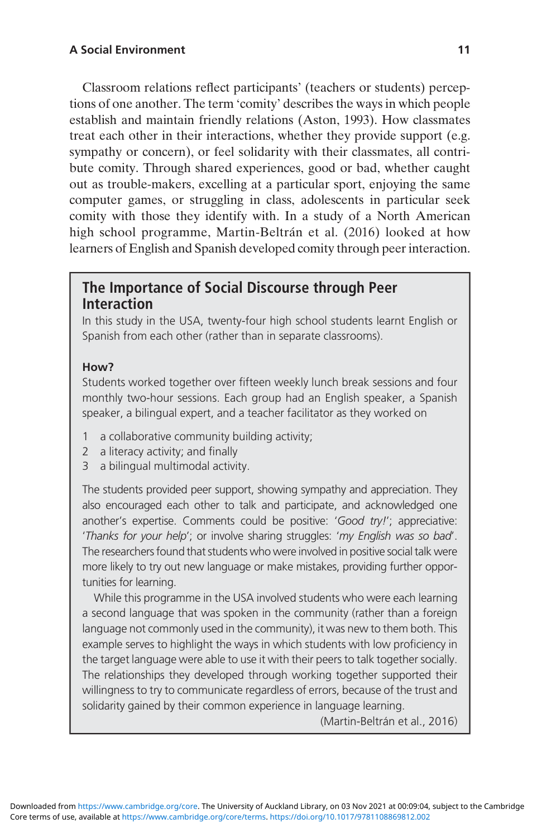Classroom relations reflect participants' (teachers or students) perceptions of one another. The term 'comity' describes the ways in which people establish and maintain friendly relations (Aston, 1993). How classmates treat each other in their interactions, whether they provide support (e.g. sympathy or concern), or feel solidarity with their classmates, all contribute comity. Through shared experiences, good or bad, whether caught out as trouble-makers, excelling at a particular sport, enjoying the same computer games, or struggling in class, adolescents in particular seek comity with those they identify with. In a study of a North American high school programme, Martin-Beltrán et al. (2016) looked at how learners of English and Spanish developed comity through peer interaction.

### The Importance of Social Discourse through Peer Interaction

In this study in the USA, twenty-four high school students learnt English or Spanish from each other (rather than in separate classrooms).

#### How?

Students worked together over fifteen weekly lunch break sessions and four monthly two-hour sessions. Each group had an English speaker, a Spanish speaker, a bilingual expert, and a teacher facilitator as they worked on

- 1 a collaborative community building activity;
- 2 a literacy activity; and finally
- 3 a bilingual multimodal activity.

The students provided peer support, showing sympathy and appreciation. They also encouraged each other to talk and participate, and acknowledged one another's expertise. Comments could be positive: 'Good try!'; appreciative: 'Thanks for your help'; or involve sharing struggles: 'my English was so bad'. The researchers found that students who were involved in positive social talk were more likely to try out new language or make mistakes, providing further opportunities for learning.

While this programme in the USA involved students who were each learning a second language that was spoken in the community (rather than a foreign language not commonly used in the community), it was new to them both. This example serves to highlight the ways in which students with low proficiency in the target language were able to use it with their peers to talk together socially. The relationships they developed through working together supported their willingness to try to communicate regardless of errors, because of the trust and solidarity gained by their common experience in language learning.

(Martin-Beltrán et al., 2016)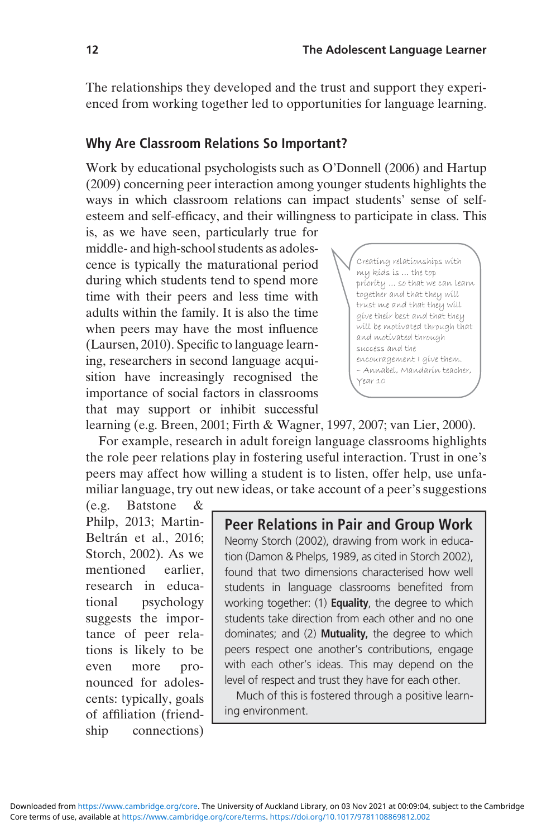The relationships they developed and the trust and support they experienced from working together led to opportunities for language learning.

#### Why Are Classroom Relations So Important?

Work by educational psychologists such as O'Donnell (2006) and Hartup (2009) concerning peer interaction among younger students highlights the ways in which classroom relations can impact students' sense of selfesteem and self-efficacy, and their willingness to participate in class. This

is, as we have seen, particularly true for middle- and high-school students as adolescence is typically the maturational period during which students tend to spend more time with their peers and less time with adults within the family. It is also the time when peers may have the most influence (Laursen, 2010). Specific to language learning, researchers in second language acquisition have increasingly recognised the importance of social factors in classrooms that may support or inhibit successful



learning (e.g. Breen, 2001; Firth & Wagner, 1997, 2007; van Lier, 2000).

For example, research in adult foreign language classrooms highlights the role peer relations play in fostering useful interaction. Trust in one's peers may affect how willing a student is to listen, offer help, use unfamiliar language, try out new ideas, or take account of a peer's suggestions

(e.g. Batstone & Philp, 2013; Martin-Beltrán et al., 2016; Storch, 2002). As we mentioned earlier, research in educational psychology suggests the importance of peer relations is likely to be even more pronounced for adolescents: typically, goals of affiliation (friendship connections)

Peer Relations in Pair and Group Work Neomy Storch (2002), drawing from work in education (Damon & Phelps, 1989, as cited in Storch 2002), found that two dimensions characterised how well students in language classrooms benefited from working together: (1) **Equality**, the degree to which students take direction from each other and no one dominates; and (2) Mutuality, the degree to which peers respect one another's contributions, engage with each other's ideas. This may depend on the level of respect and trust they have for each other.

Much of this is fostered through a positive learning environment.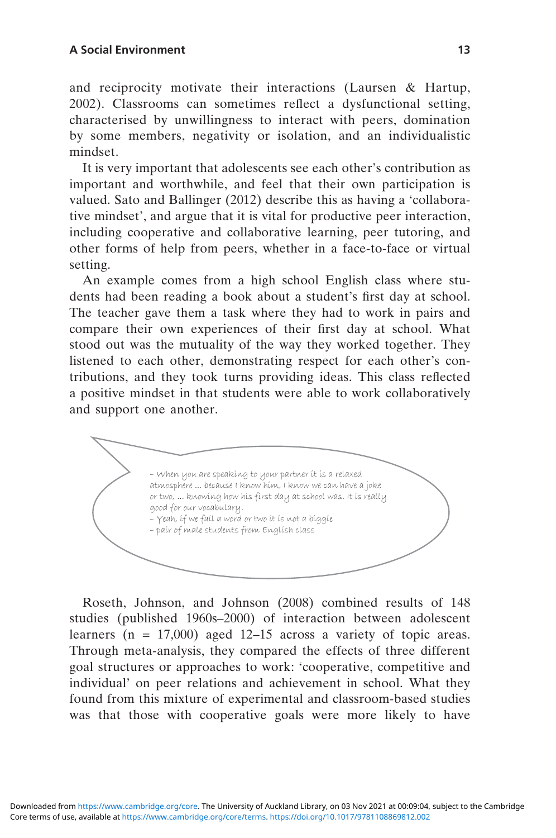and reciprocity motivate their interactions (Laursen & Hartup, 2002). Classrooms can sometimes reflect a dysfunctional setting, characterised by unwillingness to interact with peers, domination by some members, negativity or isolation, and an individualistic mindset.

It is very important that adolescents see each other's contribution as important and worthwhile, and feel that their own participation is valued. Sato and Ballinger (2012) describe this as having a 'collaborative mindset', and argue that it is vital for productive peer interaction, including cooperative and collaborative learning, peer tutoring, and other forms of help from peers, whether in a face-to-face or virtual setting.

An example comes from a high school English class where students had been reading a book about a student's first day at school. The teacher gave them a task where they had to work in pairs and compare their own experiences of their first day at school. What stood out was the mutuality of the way they worked together. They listened to each other, demonstrating respect for each other's contributions, and they took turns providing ideas. This class reflected a positive mindset in that students were able to work collaboratively and support one another.

– When you are speaking to your partner it is a relaxed atmosphere ... because I know him, I know we can have a joke or two, ... knowing how his first day at school was. It is really good for our vocabulary. – Yeah, if we fail a word or two it is not a biggie – pair of male students from English class

Roseth, Johnson, and Johnson (2008) combined results of 148 studies (published 1960s–2000) of interaction between adolescent learners ( $n = 17,000$ ) aged 12–15 across a variety of topic areas. Through meta-analysis, they compared the effects of three different goal structures or approaches to work: 'cooperative, competitive and individual' on peer relations and achievement in school. What they found from this mixture of experimental and classroom-based studies was that those with cooperative goals were more likely to have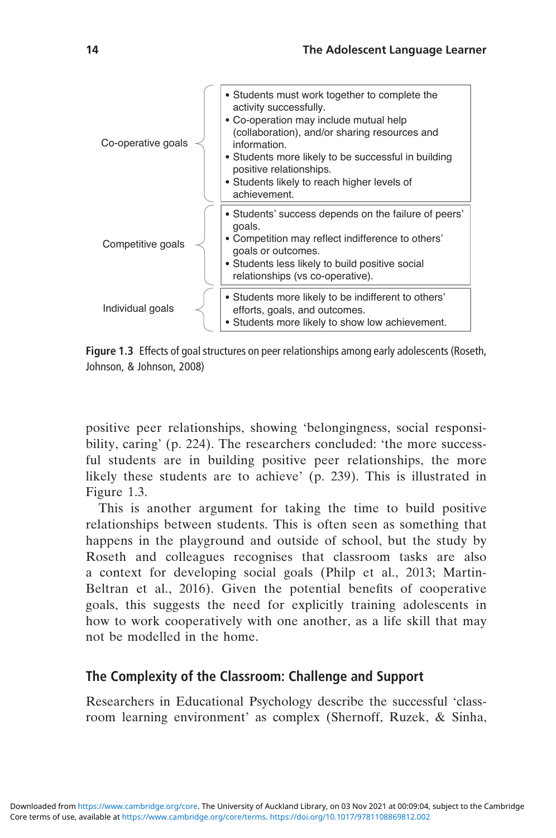| Co-operative goals | • Students must work together to complete the<br>activity successfully.<br>• Co-operation may include mutual help<br>(collaboration), and/or sharing resources and<br>information.<br>• Students more likely to be successful in building<br>positive relationships.<br>• Students likely to reach higher levels of<br>achievement. |
|--------------------|-------------------------------------------------------------------------------------------------------------------------------------------------------------------------------------------------------------------------------------------------------------------------------------------------------------------------------------|
| Competitive goals  | • Students' success depends on the failure of peers'<br>goals.<br>• Competition may reflect indifference to others'<br>goals or outcomes.<br>• Students less likely to build positive social<br>relationships (vs co-operative).                                                                                                    |
| Individual goals   | • Students more likely to be indifferent to others'<br>efforts, goals, and outcomes.<br>• Students more likely to show low achievement.                                                                                                                                                                                             |

Figure 1.3 Effects of goal structures on peer relationships among early adolescents (Roseth, Johnson, & Johnson, 2008)

positive peer relationships, showing 'belongingness, social responsibility, caring' (p. 224). The researchers concluded: 'the more successful students are in building positive peer relationships, the more likely these students are to achieve' (p. 239). This is illustrated in Figure 1.3.

This is another argument for taking the time to build positive relationships between students. This is often seen as something that happens in the playground and outside of school, but the study by Roseth and colleagues recognises that classroom tasks are also a context for developing social goals (Philp et al., 2013; Martin-Beltran et al., 2016). Given the potential benefits of cooperative goals, this suggests the need for explicitly training adolescents in how to work cooperatively with one another, as a life skill that may not be modelled in the home.

#### The Complexity of the Classroom: Challenge and Support

Researchers in Educational Psychology describe the successful 'classroom learning environment' as complex (Shernoff, Ruzek, & Sinha,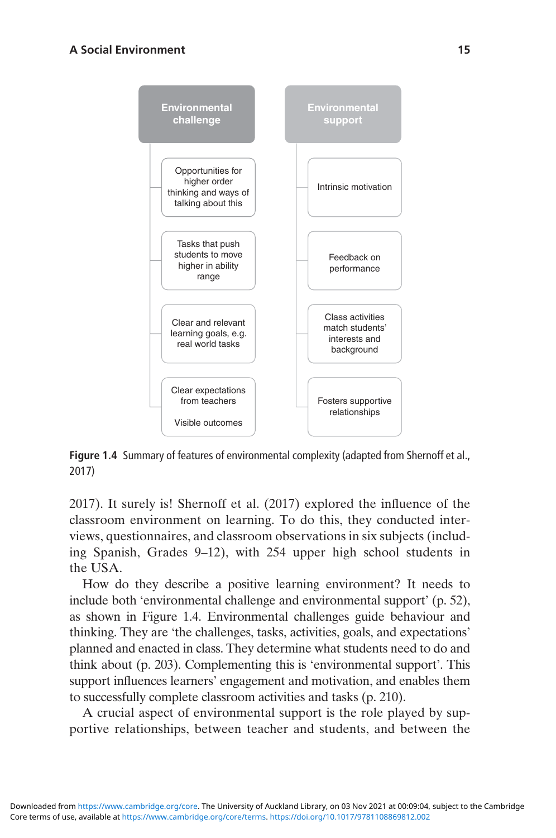

Figure 1.4 Summary of features of environmental complexity (adapted from Shernoff et al., 2017)

2017). It surely is! Shernoff et al. (2017) explored the influence of the classroom environment on learning. To do this, they conducted interviews, questionnaires, and classroom observations in six subjects (including Spanish, Grades 9–12), with 254 upper high school students in the USA.

How do they describe a positive learning environment? It needs to include both 'environmental challenge and environmental support' (p. 52), as shown in Figure 1.4. Environmental challenges guide behaviour and thinking. They are 'the challenges, tasks, activities, goals, and expectations' planned and enacted in class. They determine what students need to do and think about (p. 203). Complementing this is 'environmental support'. This support influences learners' engagement and motivation, and enables them to successfully complete classroom activities and tasks (p. 210).

A crucial aspect of environmental support is the role played by supportive relationships, between teacher and students, and between the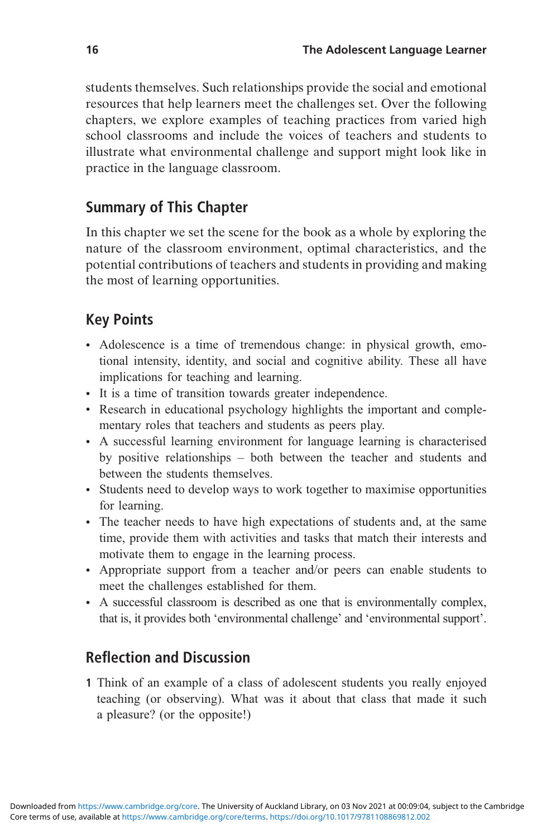students themselves. Such relationships provide the social and emotional resources that help learners meet the challenges set. Over the following chapters, we explore examples of teaching practices from varied high school classrooms and include the voices of teachers and students to illustrate what environmental challenge and support might look like in practice in the language classroom.

## Summary of This Chapter

In this chapter we set the scene for the book as a whole by exploring the nature of the classroom environment, optimal characteristics, and the potential contributions of teachers and students in providing and making the most of learning opportunities.

## Key Points

- Adolescence is a time of tremendous change: in physical growth, emotional intensity, identity, and social and cognitive ability. These all have implications for teaching and learning.
- It is a time of transition towards greater independence.
- Research in educational psychology highlights the important and complementary roles that teachers and students as peers play.
- A successful learning environment for language learning is characterised by positive relationships – both between the teacher and students and between the students themselves.
- Students need to develop ways to work together to maximise opportunities for learning.
- The teacher needs to have high expectations of students and, at the same time, provide them with activities and tasks that match their interests and motivate them to engage in the learning process.
- Appropriate support from a teacher and/or peers can enable students to meet the challenges established for them.
- A successful classroom is described as one that is environmentally complex, that is, it provides both 'environmental challenge' and 'environmental support'.

## Reflection and Discussion

1 Think of an example of a class of adolescent students you really enjoyed teaching (or observing). What was it about that class that made it such a pleasure? (or the opposite!)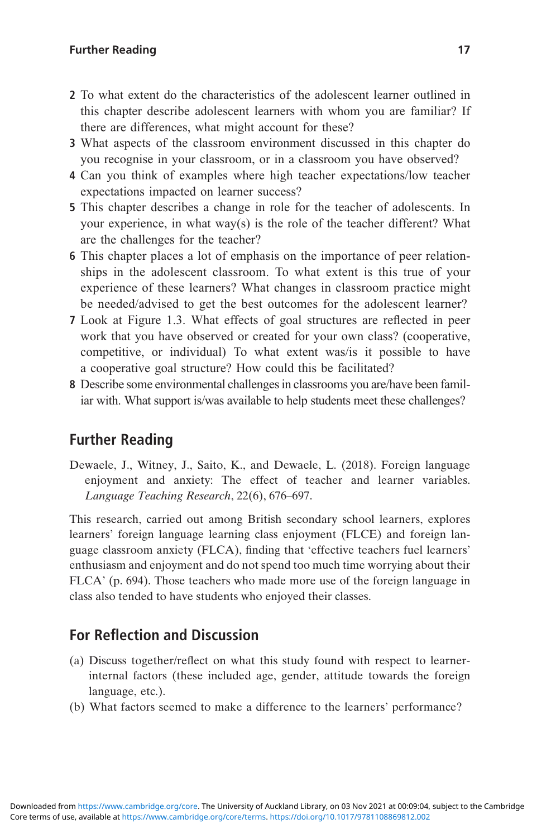#### Further Reading 17

- 2 To what extent do the characteristics of the adolescent learner outlined in this chapter describe adolescent learners with whom you are familiar? If there are differences, what might account for these?
- 3 What aspects of the classroom environment discussed in this chapter do you recognise in your classroom, or in a classroom you have observed?
- 4 Can you think of examples where high teacher expectations/low teacher expectations impacted on learner success?
- 5 This chapter describes a change in role for the teacher of adolescents. In your experience, in what way(s) is the role of the teacher different? What are the challenges for the teacher?
- 6 This chapter places a lot of emphasis on the importance of peer relationships in the adolescent classroom. To what extent is this true of your experience of these learners? What changes in classroom practice might be needed/advised to get the best outcomes for the adolescent learner?
- 7 Look at Figure 1.3. What effects of goal structures are reflected in peer work that you have observed or created for your own class? (cooperative, competitive, or individual) To what extent was/is it possible to have a cooperative goal structure? How could this be facilitated?
- 8 Describe some environmental challenges in classrooms you are/have been familiar with. What support is/was available to help students meet these challenges?

#### Further Reading

Dewaele, J., Witney, J., Saito, K., and Dewaele, L. (2018). Foreign language enjoyment and anxiety: The effect of teacher and learner variables. Language Teaching Research, 22(6), 676–697.

This research, carried out among British secondary school learners, explores learners' foreign language learning class enjoyment (FLCE) and foreign language classroom anxiety (FLCA), finding that 'effective teachers fuel learners' enthusiasm and enjoyment and do not spend too much time worrying about their FLCA' (p. 694). Those teachers who made more use of the foreign language in class also tended to have students who enjoyed their classes.

### For Reflection and Discussion

- (a) Discuss together/reflect on what this study found with respect to learnerinternal factors (these included age, gender, attitude towards the foreign language, etc.).
- (b) What factors seemed to make a difference to the learners' performance?